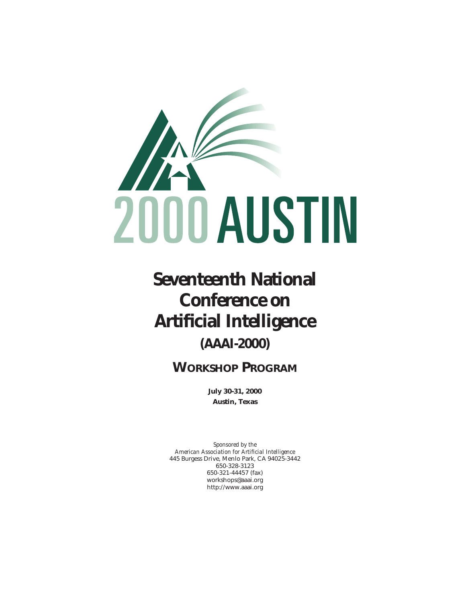

# **Seventeenth National Conference on Artificial Intelligence**

# **(AAAI-2000)**

# **WORKSHOP PROGRAM**

**July 30-31, 2000 Austin, Texas**

*Sponsored by the American Association for Artificial Intelligence* 445 Burgess Drive, Menlo Park, CA 94025-3442 650-328-3123 650-321-44457 (fax) workshops@aaai.org http://www.aaai.org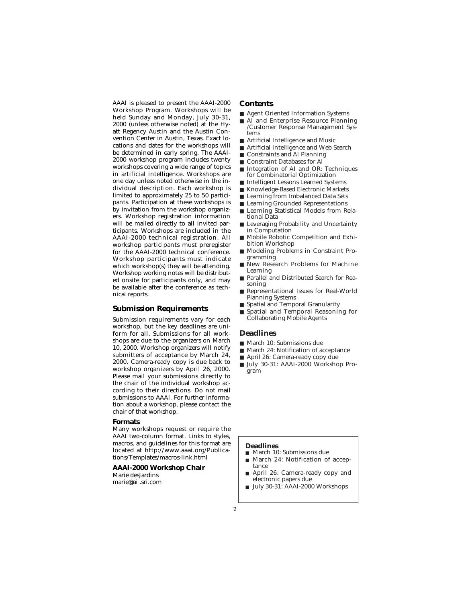AAAI is pleased to present the AAAI-2000 Workshop Program. Workshops will be held Sunday and Monday, July 30-31, 2000 (unless otherwise noted) at the Hyatt Regency Austin and the Austin Convention Center in Austin, Texas. Exact locations and dates for the workshops will be determined in early spring. The AAAI-2000 workshop program includes twenty workshops covering a wide range of topics in artificial intelligence. Workshops are one day unless noted otherwise in the individual description. Each workshop is limited to approximately 25 to 50 participants. Participation at these workshops is by invitation from the workshop organizers. Workshop registration information will be mailed directly to all invited participants. Workshops are included in the AAAI-2000 technical registration. All workshop participants must preregister for the AAAI-2000 technical conference. Workshop participants must indicate which workshop(s) they will be attending. Workshop working notes will be distributed onsite for participants only, and may be available after the conference as technical reports.

### **Submission Requirements**

Submission requirements vary for each workshop, but the key deadlines are uniform for all. Submissions for all workshops are due to the organizers on March 10, 2000. Workshop organizers will notify submitters of acceptance by March 24, 2000. Camera-ready copy is due back to workshop organizers by April 26, 2000. Please mail your submissions directly to the chair of the individual workshop according to their directions. Do not mail submissions to AAAI. For further information about a workshop, please contact the chair of that workshop.

### **Formats**

Many workshops request or require the AAAI two-column format. Links to styles, macros, and guidelines for this format are located at http://www.aaai.org/Publications/Templates/macros-link.html

### **AAAI-2000 Workshop Chair**

Marie desJardins marie@ai .sri.com

### **Contents**

- Agent Oriented Information Systems<br>■ AI and Enterprise Resource Planni
- AI and Enterprise Resource Planning /Customer Response Management Systems
- Artificial Intelligence and Music
- Artificial Intelligence and Web Search
- Constraints and AI Planning<br>■ Constraint Databases for AI
- Constraint Databases for AI
- Integration of AI and OR: Techniques for Combinatorial Optimization
- Intelligent Lessons Learned Systems
- Knowledge-Based Electronic Markets
- Learning from Imbalanced Data Sets
- Learning Grounded Representations
- Learning Statistical Models from Relational Data
- Leveraging Probability and Uncertainty in Computation
- Mobile Robotic Competition and Exhibition Workshop
- Modeling Problems in Constraint Programming
- New Research Problems for Machine Learning
- Parallel and Distributed Search for Reasoning
- Representational Issues for Real-World Planning Systems
- Spatial and Temporal Granularity
- Spatial and Temporal Reasoning for Collaborating Mobile Agents

### **Deadlines**

- March 10: Submissions due
- March 24: Notification of acceptance
- April 26: Camera-ready copy due
- July 30-31: AAAI-2000 Workshop Program

### **Deadlines**

- March 10: Submissions due
- March 24: Notification of acceptance
- April 26: Camera-ready copy and electronic papers due
- July 30-31: AAAI-2000 Workshops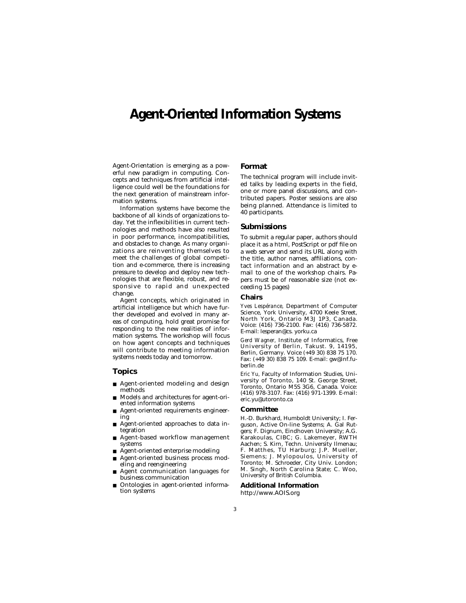### **Agent-Oriented Information Systems**

Agent-Orientation is emerging as a powerful new paradigm in computing. Concepts and techniques from artificial intelligence could well be the foundations for the next generation of mainstream information systems.

Information systems have become the backbone of all kinds of organizations today. Yet the inflexibilities in current technologies and methods have also resulted in poor performance, incompatibilities, and obstacles to change. As many organizations are reinventing themselves to meet the challenges of global competition and e-commerce, there is increasing pressure to develop and deploy new technologies that are flexible, robust, and responsive to rapid and unexpected change.

Agent concepts, which originated in artificial intelligence but which have further developed and evolved in many areas of computing, hold great promise for responding to the new realities of information systems. The workshop will focus on how agent concepts and techniques will contribute to meeting information systems needs today and tomorrow.

### **Topics**

- Agent-oriented modeling and design methods
- Models and architectures for agent-oriented information systems
- Agent-oriented requirements engineering
- Agent-oriented approaches to data integration
- Agent-based workflow management systems
- Agent-oriented enterprise modeling
- Agent-oriented business process modeling and reengineering
- Agent communication languages for business communication
- Ontologies in agent-oriented information systems

### **Format**

The technical program will include invited talks by leading experts in the field, one or more panel discussions, and contributed papers. Poster sessions are also being planned. Attendance is limited to 40 participants.

### **Submissions**

To submit a regular paper, authors should place it as a html, PostScript or pdf file on a web server and send its URL along with the title, author names, affiliations, contact information and an abstract by email to one of the workshop chairs. Papers must be of reasonable size (not exceeding 15 pages)

### **Chairs**

*Yves Lespérance,* Department of Computer Science, York University, 4700 Keele Street, North York, Ontario M3J 1P3, Canada. Voice: (416) 736-2100. Fax: (416) 736-5872. E-mail: lesperan@cs. yorku.ca

*Gerd Wagner,* Institute of Informatics, Free University of Berlin, Takust. 9, 14195, Berlin, Germany. Voice (+49 30) 838 75 170. Fax: (+49 30) 838 75 109. E-mail: gw@inf.fuberlin.de

*Eric Yu,* Faculty of Information Studies, University of Toronto, 140 St. George Street, Toronto, Ontario M5S 3G6, Canada. Voice: (416) 978-3107. Fax: (416) 971-1399. E-mail: eric.yu@utoronto.ca

### **Committee**

H.-D. Burkhard, Humboldt University; I. Ferguson, Active On-line Systems; A. Gal Rutgers; F. Dignum, Eindhoven University; A.G. Karakoulas, CIBC; G. Lakemeyer, RWTH Aachen; S. Kirn, Techn. University Ilmenau; F. Matthes, TU Harburg; J.P. Mueller, Siemens; J. Mylopoulos, University of Toronto; M. Schroeder, City Univ. London; M. Singh, North Carolina State; C. Woo, University of British Columbia.

### **Additional Information** http://www.AOIS.org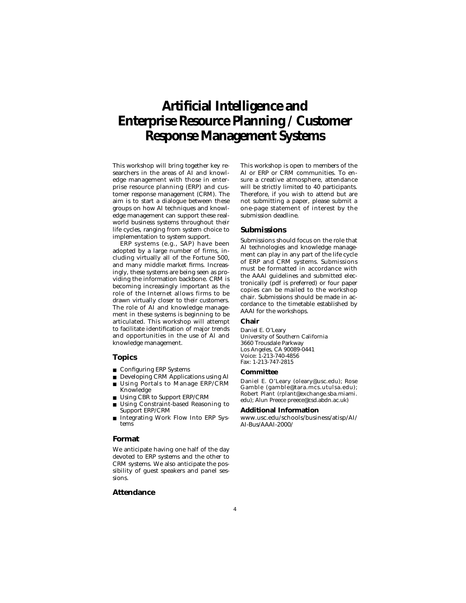# **Artificial Intelligence and Enterprise Resource Planning / Customer Response Management Systems**

This workshop will bring together key researchers in the areas of AI and knowledge management with those in enterprise resource planning (ERP) and customer response management (CRM). The aim is to start a dialogue between these groups on how AI techniques and knowledge management can support these realworld business systems throughout their life cycles, ranging from system choice to implementation to system support.

ERP systems (e.g., SAP) have been adopted by a large number of firms, including virtually all of the Fortune 500, and many middle market firms. Increasingly, these systems are being seen as providing the information backbone. CRM is becoming increasingly important as the role of the Internet allows firms to be drawn virtually closer to their customers. The role of AI and knowledge management in these systems is beginning to be articulated. This workshop will attempt to facilitate identification of major trends and opportunities in the use of AI and knowledge management.

### **Topics**

- Configuring ERP Systems
- Developing CRM Applications using AI Using Portals to Manage ERP/CRM
- Knowledge ■ Using CBR to Support ERP/CRM
- Using Constraint-based Reasoning to
- Support ERP/CRM Integrating Work Flow Into ERP Systems

### **Format**

We anticipate having one half of the day devoted to ERP systems and the other to CRM systems. We also anticipate the possibility of guest speakers and panel sessions.

### **Attendance**

This workshop is open to members of the AI or ERP or CRM communities. To ensure a creative atmosphere, attendance will be strictly limited to 40 participants. Therefore, if you wish to attend but are not submitting a paper, please submit a one-page statement of interest by the submission deadline.

### **Submissions**

Submissions should focus on the role that AI technologies and knowledge management can play in any part of the life cycle of ERP and CRM systems. Submissions must be formatted in accordance with the AAAI guidelines and submitted electronically (pdf is preferred) or four paper copies can be mailed to the workshop chair. Submissions should be made in accordance to the timetable established by AAAI for the workshops.

### **Chair**

Daniel E. O'Leary University of Southern California 3660 Trousdale Parkway Los Angeles, CA 90089-0441 Voice: 1-213-740-4856 Fax: 1-213-747-2815

### **Committee**

Daniel E. O'Leary (oleary@usc.edu); Rose Gamble (gamble@tara.mcs.utulsa.edu); Robert Plant (rplant@exchange.sba.miami. edu); Alun Preece preece@csd.abdn.ac.uk)

### **Additional Information**

www.usc.edu/schools/business/atisp/AI/ AI-Bus/AAAI-2000/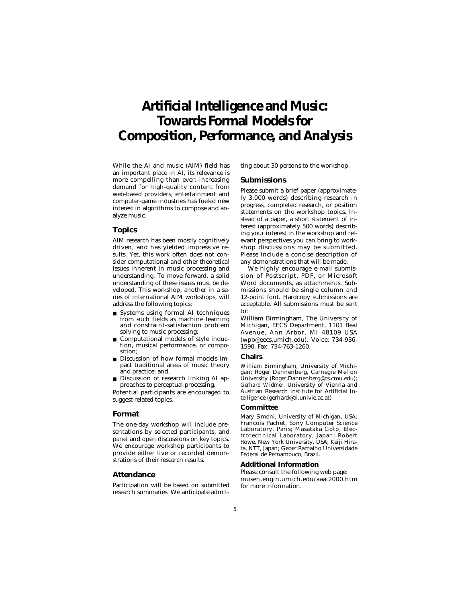# **Artificial Intelligence and Music: Towards Formal Models for Composition, Performance, and Analysis**

While the AI and music (AIM) field has an important place in AI, its relevance is more compelling than ever: increasing demand for high-quality content from web-based providers, entertainment and computer-game industries has fueled new interest in algorithms to compose and analyze music.

### **Topics**

AIM research has been mostly cognitively driven, and has yielded impressive results. Yet, this work often does not consider computational and other theoretical issues inherent in music processing and understanding. To move forward, a solid understanding of these issues must be developed. This workshop, another in a series of international AIM workshops, will address the following topics:

- Systems using formal AI techniques from such fields as machine learning and constraint-satisfaction problem solving to music processing;
- Computational models of style induction, musical performance, or composition;
- Discussion of how formal models impact traditional areas of music theory and practice; and,
- Discussion of research linking AI approaches to perceptual processing.

Potential participants are encouraged to suggest related topics.

### **Format**

The one-day workshop will include presentations by selected participants, and panel and open discussions on key topics. We encourage workshop participants to provide either live or recorded demonstrations of their research results.

### **Attendance**

Participation will be based on submitted research summaries. We anticipate admitting about 30 persons to the workshop.

### **Submissions**

Please submit a brief paper (approximately 3,000 words) describing research in progress, completed research, or position statements on the workshop topics. Instead of a paper, a short statement of interest (approximately 500 words) describing your interest in the workshop and relevant perspectives you can bring to workshop discussions may be submitted. Please include a concise description of any demonstrations that will be made.

We highly encourage e-mail submission of Postscript, PDF, or Microsoft Word documents, as attachments. Submissions should be single column and 12-point font. Hardcopy submissions are acceptable. All submissions must be sent to:

William Birmingham, The University of Michigan, EECS Department, 1101 Beal Avenue, Ann Arbor, MI 48109 USA (wpb@eecs.umich.edu). Voice: 734-936- 1590. Fax: 734-763-1260.

### **Chairs**

*William Birmingham,* University of Michigan; Roger Dannenberg, Carnegie Mellon University (Roger.Dannenberg@cs.cmu.edu); *Gerhard Widmer,* University of Vienna and Austrian Research Institute for Artificial Intelligence (gerhard@ai.univie.ac.at)

#### **Committee**

Mary Simoni, University of Michigan, USA; Francois Pachet, Sony Computer Science Laboratory, Paris; Masataka Goto, Electrotechnical Laboratory, Japan; Robert Rowe, New York University, USA; Keiji Hirata, NTT, Japan; Geber Ramalho Universidade Federal de Pernambuco, Brazil.

### **Additional Information**

Please consult the following web page: musen.engin.umich.edu/aaai2000.htm for more information.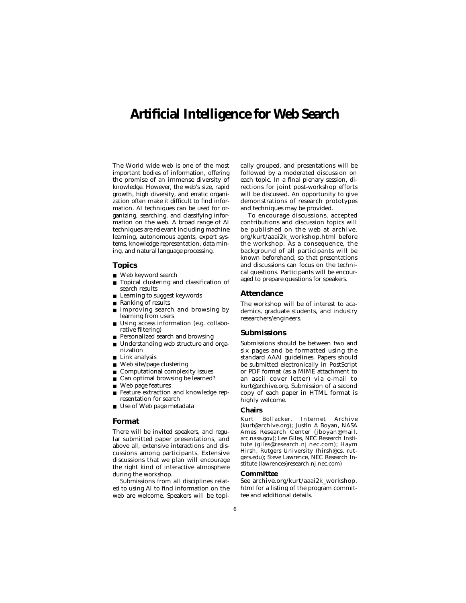### **Artificial Intelligence for Web Search**

The World wide web is one of the most important bodies of information, offering the promise of an immense diversity of knowledge. However, the web's size, rapid growth, high diversity, and erratic organization often make it difficult to find information. AI techniques can be used for organizing, searching, and classifying information on the web. A broad range of AI techniques are relevant including machine learning, autonomous agents, expert systems, knowledge representation, data mining, and natural language processing.

### **Topics**

- Web keyword search
- Topical clustering and classification of search results
- Learning to suggest keywords
- Ranking of results
- Improving search and browsing by learning from users
- Using access information (e.g. collaborative filtering)
- Personalized search and browsing
- Understanding web structure and organization
- Link analysis
- Web site/page clustering
- Computational complexity issues
- Can optimal browsing be learned?
- Web page features
- Feature extraction and knowledge representation for search
- Use of Web page metadata

### **Format**

There will be invited speakers, and regular submitted paper presentations, and above all, extensive interactions and discussions among participants. Extensive discussions that we plan will encourage the right kind of interactive atmosphere during the workshop.

Submissions from all disciplines related to using AI to find information on the web are welcome. Speakers will be topically grouped, and presentations will be followed by a moderated discussion on each topic. In a final plenary session, directions for joint post-workshop efforts will be discussed. An opportunity to give demonstrations of research prototypes and techniques may be provided.

To encourage discussions, accepted contributions and discussion topics will be published on the web at archive. org/kurt/aaai2k\_workshop.html before the workshop. As a consequence, the background of all participants will be known beforehand, so that presentations and discussions can focus on the technical questions. Participants will be encouraged to prepare questions for speakers.

### **Attendance**

The workshop will be of interest to academics, graduate students, and industry researchers/engineers.

### **Submissions**

Submissions should be between two and six pages and be formatted using the standard AAAI guidelines. Papers should be submitted electronically in PostScript or PDF format (as a MIME attachment to an ascii cover letter) via e-mail to kurt@archive.org. Submission of a second copy of each paper in HTML format is highly welcome.

### **Chairs**

Kurt Bollacker, Internet Archive (kurt@archive.org); Justin A Boyan, NASA Ames Research Center (jboyan@mail. arc.nasa.gov); Lee Giles, NEC Research Institute (giles@research.nj.nec.com); Haym Hirsh, Rutgers University (hirsh@cs. rutgers.edu); Steve Lawrence, NEC Research Institute (lawrence@research.nj.nec.com)

### **Committee**

See archive.org/kurt/aaai2k\_workshop. html for a listing of the program committee and additional details.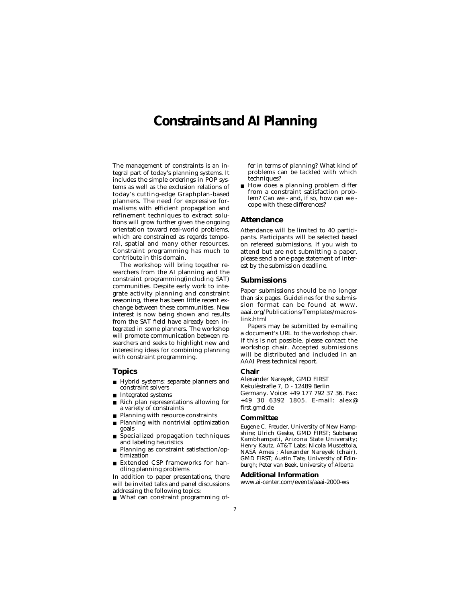### **Constraints and AI Planning**

The management of constraints is an integral part of today's planning systems. It includes the simple orderings in POP systems as well as the exclusion relations of today's cutting-edge Graphplan-based planners. The need for expressive formalisms with efficient propagation and refinement techniques to extract solutions will grow further given the ongoing orientation toward real-world problems, which are constrained as regards temporal, spatial and many other resources. Constraint programming has much to contribute in this domain.

The workshop will bring together researchers from the AI planning and the constraint programming(including SAT) communities. Despite early work to integrate activity planning and constraint reasoning, there has been little recent exchange between these communities. New interest is now being shown and results from the SAT field have already been integrated in some planners. The workshop will promote communication between researchers and seeks to highlight new and interesting ideas for combining planning with constraint programming.

### **Topics**

- Hybrid systems: separate planners and constraint solvers
- Integrated systems
- Rich plan representations allowing for a variety of constraints
- Planning with resource constraints
- Planning with nontrivial optimization goals
- Specialized propagation techniques and labeling heuristics
- Planning as constraint satisfaction/optimization
- Extended CSP frameworks for handling planning problems

In addition to paper presentations, there will be invited talks and panel discussions addressing the following topics:

■ What can constraint programming of-

fer in terms of planning? What kind of problems can be tackled with which techniques?

■ How does a planning problem differ from a constraint satisfaction problem? Can we - and, if so, how can we cope with these differences?

### **Attendance**

Attendance will be limited to 40 participants. Participants will be selected based on refereed submissions. If you wish to attend but are not submitting a paper, please send a one-page statement of interest by the submission deadline.

### **Submissions**

Paper submissions should be no longer than six pages. Guidelines for the submission format can be found at www. aaai.org/Publications/Templates/macroslink.html

Papers may be submitted by e-mailing a document's URL to the workshop chair. If this is not possible, please contact the workshop chair. Accepted submissions will be distributed and included in an AAAI Press technical report.

### **Chair**

Alexander Nareyek, GMD FIRST

Kekulèstrafle 7, D - 12489 Berlin

Germany. Voice: +49 177 792 37 36. Fax: +49 30 6392 1805. E-mail: alex@ first.gmd.de

### **Committee**

Eugene C. Freuder, University of New Hampshire; Ulrich Geske, GMD FIRST; Subbarao Kambhampati, Arizona State University; Henry Kautz, AT&T Labs; Nicola Muscettola, NASA Ames ; Alexander Nareyek (chair), GMD FIRST; Austin Tate, University of Edinburgh; Peter van Beek, University of Alberta

### **Additional Information**

www.ai-center.com/events/aaai-2000-ws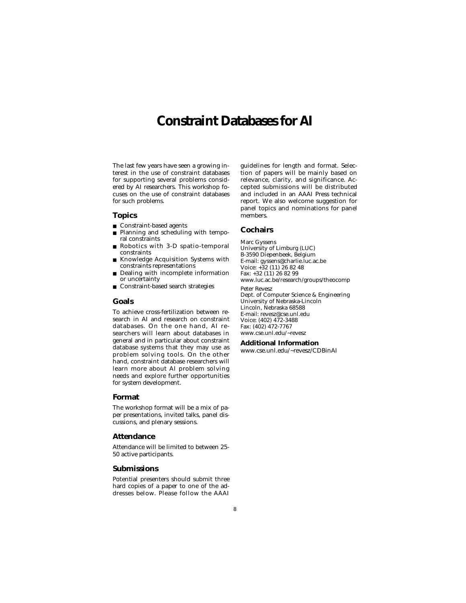# **Constraint Databases for AI**

The last few years have seen a growing interest in the use of constraint databases for supporting several problems considered by AI researchers. This workshop focuses on the use of constraint databases for such problems.

### **Topics**

- Constraint-based agents
- Planning and scheduling with temporal constraints
- Robotics with 3-D spatio-temporal constraints
- Knowledge Acquisition Systems with constraints representations
- Dealing with incomplete information or uncertainty
- Constraint-based search strategies

### **Goals**

To achieve cross-fertilization between research in AI and research on constraint databases. On the one hand, AI researchers will learn about databases in general and in particular about constraint database systems that they may use as problem solving tools. On the other hand, constraint database researchers will learn more about AI problem solving needs and explore further opportunities for system development.

### **Format**

The workshop format will be a mix of paper presentations, invited talks, panel discussions, and plenary sessions.

### **Attendance**

Attendance will be limited to between 25- 50 active participants.

### **Submissions**

Potential presenters should submit three hard copies of a paper to one of the addresses below. Please follow the AAAI guidelines for length and format. Selection of papers will be mainly based on relevance, clarity, and significance. Accepted submissions will be distributed and included in an AAAI Press technical report. We also welcome suggestion for panel topics and nominations for panel members.

### **Cochairs**

Marc Gyssens University of Limburg (LUC) B-3590 Diepenbeek, Belgium E-mail: gyssens@charlie.luc.ac.be Voice: +32 (11) 26 82 48 Fax: +32 (11) 26 82 99 www.luc.ac.be/research/groups/theocomp Peter Revesz Dept. of Computer Science & Engineering University of Nebraska-Lincoln Lincoln, Nebraska 68588 E-mail: revesz@cse.unl.edu Voice: (402) 472-3488 Fax: (402) 472-7767 www.cse.unl.edu/~revesz

### **Additional Information**

www.cse.unl.edu/~revesz/CDBinAI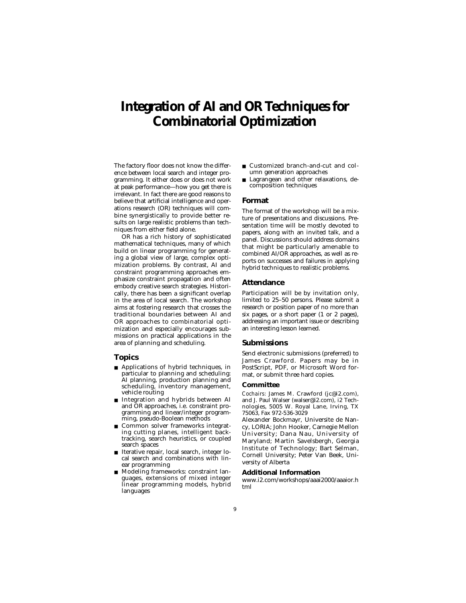# **Integration of AI and OR Techniques for Combinatorial Optimization**

The factory floor does not know the difference between local search and integer programming. It either does or does not work at peak performance—how you get there is irrelevant. In fact there are good reasons to believe that artificial intelligence and operations research (OR) techniques will combine synergistically to provide better results on large realistic problems than techniques from either field alone.

OR has a rich history of sophisticated mathematical techniques, many of which build on linear programming for generating a global view of large, complex optimization problems. By contrast, AI and constraint programming approaches emphasize constraint propagation and often embody creative search strategies. Historically, there has been a significant overlap in the area of local search. The workshop aims at fostering research that crosses the traditional boundaries between AI and OR approaches to combinatorial optimization and especially encourages submissions on practical applications in the area of planning and scheduling.

### **Topics**

- Applications of hybrid techniques, in particular to planning and scheduling: AI planning, production planning and scheduling, inventory management, vehicle routing
- Integration and hybrids between AI and OR approaches, i.e. constraint programming and linear/integer programming, pseudo-Boolean methods
- Common solver frameworks integrating cutting planes, intelligent backtracking, search heuristics, or coupled search spaces
- Iterative repair, local search, integer local search and combinations with linear programming
- Modeling frameworks: constraint languages, extensions of mixed integer linear programming models, hybrid languages
- Customized branch-and-cut and column generation approaches
- Lagrangean and other relaxations, decomposition techniques

### **Format**

The format of the workshop will be a mixture of presentations and discussions. Presentation time will be mostly devoted to papers, along with an invited talk, and a panel. Discussions should address domains that might be particularly amenable to combined AI/OR approaches, as well as reports on successes and failures in applying hybrid techniques to realistic problems.

### **Attendance**

Participation will be by invitation only, limited to 25–50 persons. Please submit a research or position paper of no more than six pages, or a short paper (1 or 2 pages), addressing an important issue or describing an interesting lesson learned.

### **Submissions**

Send electronic submissions (preferred) to James Crawford. Papers may be in PostScript, PDF, or Microsoft Word format, or submit three hard copies.

#### **Committee**

*Cochairs:* James M. Crawford (jc@i2.com), and J. Paul Walser (walser@i2.com), i2 Technologies, 5005 W. Royal Lane, Irving, TX 75063, Fax 972-536-3029

Alexander Bockmayr, Universite de Nancy, LORIA; John Hooker, Carnegie Mellon University; Dana Nau, University of Maryland; Martin Savelsbergh, Georgia Institute of Technology; Bart Selman, Cornell University; Peter Van Beek, University of Alberta

### **Additional Information**

www.i2.com/workshops/aaai2000/aaaior.h tml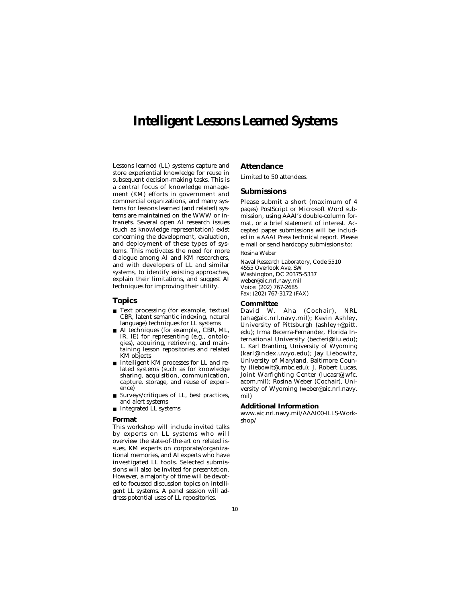### **Intelligent Lessons Learned Systems**

Lessons learned (LL) systems capture and store experiential knowledge for reuse in subsequent decision-making tasks. This is a central focus of knowledge management (KM) efforts in government and commercial organizations, and many systems for lessons learned (and related) systems are maintained on the WWW or intranets. Several open AI research issues (such as knowledge representation) exist concerning the development, evaluation, and deployment of these types of systems. This motivates the need for more dialogue among AI and KM researchers, and with developers of LL and similar systems, to identify existing approaches, explain their limitations, and suggest AI techniques for improving their utility.

### **Topics**

- Text processing (for example, textual CBR, latent semantic indexing, natural language) techniques for LL systems
- AI techniques (for example,, CBR, ML, IR, IE) for representing (e.g., ontologies), acquiring, retrieving, and maintaining lesson repositories and related KM objects
- Intelligent KM processes for LL and related systems (such as for knowledge sharing, acquisition, communication, capture, storage, and reuse of experience)
- Surveys/critiques of LL, best practices, and alert systems
- Integrated LL systems

### **Format**

This workshop will include invited talks by experts on LL systems who will overview the state-of-the-art on related issues, KM experts on corporate/organizational memories, and AI experts who have investigated LL tools. Selected submissions will also be invited for presentation. However, a majority of time will be devoted to focussed discussion topics on intelligent LL systems. A panel session will address potential uses of LL repositories.

### **Attendance**

Limited to 50 attendees.

### **Submissions**

Please submit a short (maximum of 4 pages) PostScript or Microsoft Word submission, using AAAI's double-column format, or a brief statement of interest. Accepted paper submissions will be included in a AAAI Press technical report. Please e-mail or send hardcopy submissions to: Rosina Weber

Naval Research Laboratory, Code 5510 4555 Overlook Ave, SW Washington, DC 20375-5337 weber@aic.nrl.navy.mil Voice: (202) 767-2685 Fax: (202) 767-3172 (FAX)

### **Committee**

David W. Aha (Cochair), NRL (aha@aic.nrl.navy.mil); Kevin Ashley, University of Pittsburgh (ashley+@pitt. edu); Irma Becerra-Fernandez, Florida International University (becferi@fiu.edu); L. Karl Branting, University of Wyoming (karl@index.uwyo.edu); Jay Liebowitz, University of Maryland, Baltimore County (liebowit@umbc.edu); J. Robert Lucas, Joint Warfighting Center (lucasr@jwfc. acom.mil); Rosina Weber (Cochair), University of Wyoming (weber@aic.nrl.navy. mil)

### **Additional Information**

www.aic.nrl.navy.mil/AAAI00-ILLS-Workshop/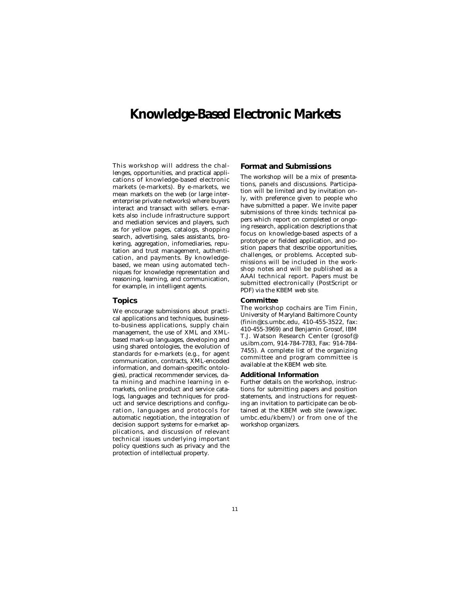### **Knowledge-Based Electronic Markets**

This workshop will address the challenges, opportunities, and practical applications of knowledge-based electronic markets (e-markets). By e-markets, we mean markets on the web (or large interenterprise private networks) where buyers interact and transact with sellers. e-markets also include infrastructure support and mediation services and players, such as for yellow pages, catalogs, shopping search, advertising, sales assistants, brokering, aggregation, infomediaries, reputation and trust management, authentication, and payments. By knowledgebased, we mean using automated techniques for knowledge representation and reasoning, learning, and communication, for example, in intelligent agents.

### **Topics**

We encourage submissions about practical applications and techniques, businessto-business applications, supply chain management, the use of XML and XMLbased mark-up languages, developing and using shared ontologies, the evolution of standards for e-markets (e.g., for agent communication, contracts, XML-encoded information, and domain-specific ontologies), practical recommender services, data mining and machine learning in emarkets, online product and service catalogs, languages and techniques for product and service descriptions and configuration, languages and protocols for automatic negotiation, the integration of decision support systems for e-market applications, and discussion of relevant technical issues underlying important policy questions such as privacy and the protection of intellectual property.

### **Format and Submissions**

The workshop will be a mix of presentations, panels and discussions. Participation will be limited and by invitation only, with preference given to people who have submitted a paper. We invite paper submissions of three kinds: technical papers which report on completed or ongoing research, application descriptions that focus on knowledge-based aspects of a prototype or fielded application, and position papers that describe opportunities, challenges, or problems. Accepted submissions will be included in the workshop notes and will be published as a AAAI technical report. Papers must be submitted electronically (PostScript or PDF) via the KBEM web site.

### **Committee**

The workshop cochairs are Tim Finin, University of Maryland Baltimore County (finin@cs.umbc.edu, 410-455-3522, fax: 410-455-3969) and Benjamin Grosof, IBM T.J. Watson Research Center (grosof@ us.ibm.com, 914-784-7783, Fax: 914-784- 7455). A complete list of the organizing committee and program committee is available at the KBEM web site.

### **Additional Information**

Further details on the workshop, instructions for submitting papers and position statements, and instructions for requesting an invitation to participate can be obtained at the KBEM web site (www.igec. umbc.edu/kbem/) or from one of the workshop organizers.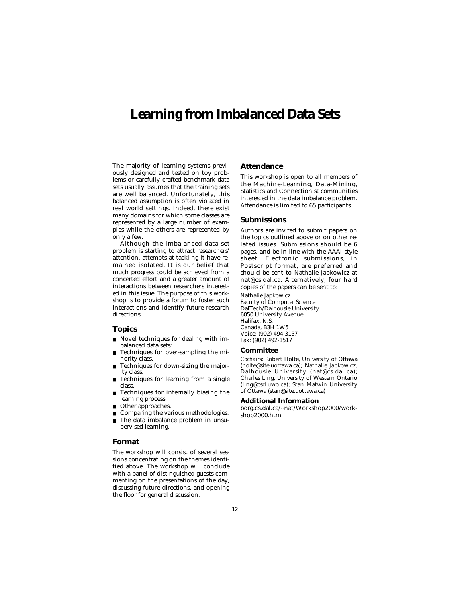### **Learning from Imbalanced Data Sets**

The majority of learning systems previously designed and tested on toy problems or carefully crafted benchmark data sets usually assumes that the training sets are well balanced. Unfortunately, this balanced assumption is often violated in real world settings. Indeed, there exist many domains for which some classes are represented by a large number of examples while the others are represented by only a few.

Although the imbalanced data set problem is starting to attract researchers' attention, attempts at tackling it have remained isolated. It is our belief that much progress could be achieved from a concerted effort and a greater amount of interactions between researchers interested in this issue. The purpose of this workshop is to provide a forum to foster such interactions and identify future research directions.

### **Topics**

- Novel techniques for dealing with imbalanced data sets:
- Techniques for over-sampling the minority class.
- Techniques for down-sizing the majority class.
- Techniques for learning from a single class.
- Techniques for internally biasing the learning process.
- Other approaches.

pervised learning.

■ Comparing the various methodologies. ■ The data imbalance problem in unsu-

### **Format**

The workshop will consist of several sessions concentrating on the themes identified above. The workshop will conclude with a panel of distinguished guests commenting on the presentations of the day, discussing future directions, and opening the floor for general discussion.

### **Attendance**

This workshop is open to all members of the Machine-Learning, Data-Mining, Statistics and Connectionist communities interested in the data imbalance problem. Attendance is limited to 65 participants.

### **Submissions**

Authors are invited to submit papers on the topics outlined above or on other related issues. Submissions should be 6 pages, and be in line with the AAAI style sheet. Electronic submissions, in Postscript format, are preferred and should be sent to Nathalie Japkowicz at nat@cs.dal.ca. Alternatively, four hard copies of the papers can be sent to:

Nathalie Japkowicz Faculty of Computer Science DalTech/Dalhousie University 6050 University Avenue Halifax, N.S. Canada, B3H 1W5 Voice: (902) 494-3157 Fax: (902) 492-1517

### **Committee**

*Cochairs:* Robert Holte, University of Ottawa (holte@site.uottawa.ca); Nathalie Japkowicz, Dalhousie University (nat@cs.dal.ca); Charles Ling, University of Western Ontario (ling@csd.uwo.ca); Stan Matwin University of Ottawa (stan@site.uottawa.ca)

### **Additional Information**

borg.cs.dal.ca/~nat/Workshop2000/workshop2000.html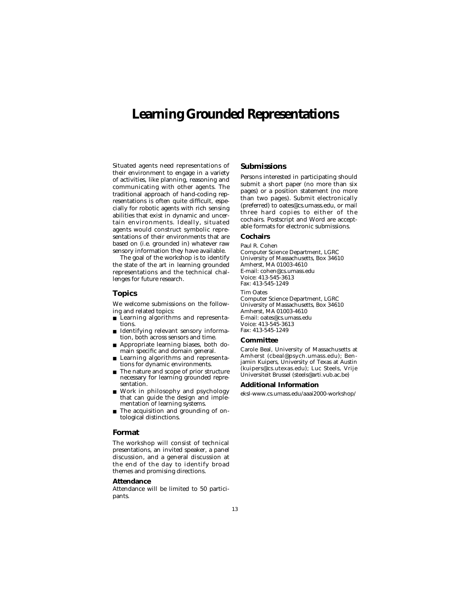### **Learning Grounded Representations**

Situated agents need representations of their environment to engage in a variety of activities, like planning, reasoning and communicating with other agents. The traditional approach of hand-coding representations is often quite difficult, especially for robotic agents with rich sensing abilities that exist in dynamic and uncertain environments. Ideally, situated agents would construct symbolic representations of their environments that are based on (i.e. grounded in) whatever raw sensory information they have available.

The goal of the workshop is to identify the state of the art in learning grounded representations and the technical challenges for future research.

### **Topics**

We welcome submissions on the following and related topics:

- Learning algorithms and representations.
- Identifying relevant sensory information, both across sensors and time.
- Appropriate learning biases, both domain specific and domain general.
- Learning algorithms and representations for dynamic environments.
- The nature and scope of prior structure necessary for learning grounded representation.
- Work in philosophy and psychology that can guide the design and implementation of learning systems.
- The acquisition and grounding of ontological distinctions.

### **Format**

The workshop will consist of technical presentations, an invited speaker, a panel discussion, and a general discussion at the end of the day to identify broad themes and promising directions.

### **Attendance**

Attendance will be limited to 50 participants.

### **Submissions**

Persons interested in participating should submit a short paper (no more than six pages) or a position statement (no more than two pages). Submit electronically (preferred) to oates@cs.umass.edu, or mail three hard copies to either of the cochairs. Postscript and Word are acceptable formats for electronic submissions.

### **Cochairs**

Paul R. Cohen Computer Science Department, LGRC University of Massachusetts, Box 34610 Amherst, MA 01003-4610 E-mail: cohen@cs.umass.edu Voice: 413-545-3613 Fax: 413-545-1249 Tim Oates Computer Science Department, LGRC University of Massachusetts, Box 34610 Amherst, MA 01003-4610 E-mail: oates@cs.umass.edu Voice: 413-545-3613 Fax: 413-545-1249

### **Committee**

Carole Beal, University of Massachusetts at Amherst (cbeal@psych.umass.edu); Benjamin Kuipers, University of Texas at Austin (kuipers@cs.utexas.edu); Luc Steels, Vrije Universiteit Brussel (steels@arti.vub.ac.be)

### **Additional Information**

eksl-www.cs.umass.edu/aaai2000-workshop/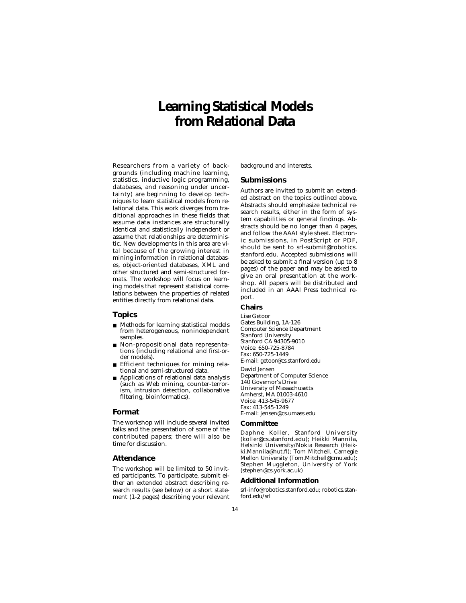# **Learning Statistical Models from Relational Data**

Researchers from a variety of backgrounds (including machine learning, statistics, inductive logic programming, databases, and reasoning under uncertainty) are beginning to develop techniques to learn statistical models from relational data. This work diverges from traditional approaches in these fields that assume data instances are structurally identical and statistically independent or assume that relationships are deterministic. New developments in this area are vital because of the growing interest in mining information in relational databases, object-oriented databases, XML and other structured and semi-structured formats. The workshop will focus on learning models that represent statistical correlations between the properties of related entities directly from relational data.

### **Topics**

- Methods for learning statistical models from heterogeneous, nonindependent samples.
- Non-propositional data representations (including relational and first-order models).
- Efficient techniques for mining relational and semi-structured data.
- Applications of relational data analysis (such as Web mining, counter-terrorism, intrusion detection, collaborative filtering, bioinformatics).

### **Format**

The workshop will include several invited talks and the presentation of some of the contributed papers; there will also be time for discussion.

### **Attendance**

The workshop will be limited to 50 invited participants. To participate, submit either an extended abstract describing research results (see below) or a short statement (1-2 pages) describing your relevant background and interests.

### **Submissions**

Authors are invited to submit an extended abstract on the topics outlined above. Abstracts should emphasize technical research results, either in the form of system capabilities or general findings. Abstracts should be no longer than 4 pages, and follow the AAAI style sheet. Electronic submissions, in PostScript or PDF, should be sent to srl-submit@robotics. stanford.edu. Accepted submissions will be asked to submit a final version (up to 8 pages) of the paper and may be asked to give an oral presentation at the workshop. All papers will be distributed and included in an AAAI Press technical report.

### **Chairs**

Lise Getoor Gates Building, 1A-126 Computer Science Department Stanford University Stanford CA 94305-9010 Voice: 650-725-8784 Fax: 650-725-1449 E-mail: getoor@cs.stanford.edu David Jensen Department of Computer Science 140 Governor's Drive University of Massachusetts Amherst, MA 01003-4610 Voice: 413-545-9677 Fax: 413-545-1249 E-mail: jensen@cs.umass.edu

### **Committee**

Daphne Koller, Stanford University (koller@cs.stanford.edu); Heikki Mannila, Helsinki University/Nokia Research (Heikki.Mannila@hut.fi); Tom Mitchell, Carnegie Mellon University (Tom.Mitchell@cmu.edu); Stephen Muggleton, University of York (stephen@cs.york.ac.uk)

### **Additional Information**

srl-info@robotics.stanford.edu; robotics.stanford.edu/srl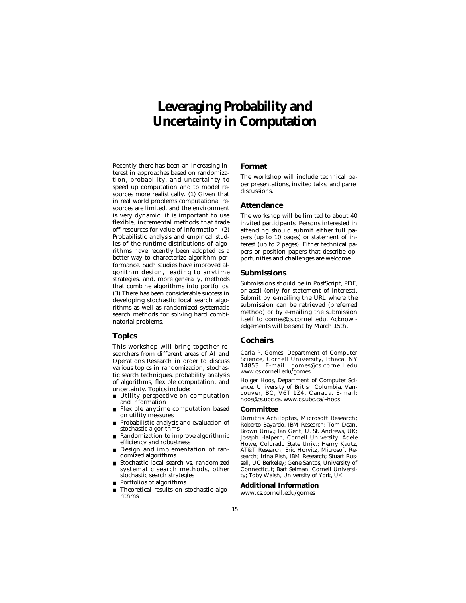# **Leveraging Probability and Uncertainty in Computation**

Recently there has been an increasing interest in approaches based on randomization, probability, and uncertainty to speed up computation and to model resources more realistically. (1) Given that in real world problems computational resources are limited, and the environment is very dynamic, it is important to use flexible, incremental methods that trade off resources for value of information. (2) Probabilistic analysis and empirical studies of the runtime distributions of algorithms have recently been adopted as a better way to characterize algorithm performance. Such studies have improved algorithm design, leading to anytime strategies, and, more generally, methods that combine algorithms into portfolios. (3) There has been considerable success in developing stochastic local search algorithms as well as randomized systematic search methods for solving hard combinatorial problems.

### **Topics**

This workshop will bring together researchers from different areas of AI and Operations Research in order to discuss various topics in randomization, stochastic search techniques, probability analysis of algorithms, flexible computation, and uncertainty. Topics include:<br>■ Utility perspective on a

- Utility perspective on computation and information
- Flexible anytime computation based on utility measures
- Probabilistic analysis and evaluation of stochastic algorithms
- Randomization to improve algorithmic efficiency and robustness
- Design and implementation of randomized algorithms
- Stochastic local search vs. randomized systematic search methods, other stochastic search strategies
- Portfolios of algorithms
- Theoretical results on stochastic algorithms

### **Format**

The workshop will include technical paper presentations, invited talks, and panel discussions.

### **Attendance**

The workshop will be limited to about 40 invited participants. Persons interested in attending should submit either full papers (up to 10 pages) or statement of interest (up to 2 pages). Either technical papers or position papers that describe opportunities and challenges are welcome.

### **Submissions**

Submissions should be in PostScript, PDF, or ascii (only for statement of interest). Submit by e-mailing the URL where the submission can be retrieved (preferred method) or by e-mailing the submission itself to gomes@cs.cornell.edu. Acknowledgements will be sent by March 15th.

### **Cochairs**

Carla P. Gomes, Department of Computer Science, Cornell University, Ithaca, NY 14853. E-mail: gomes@cs.cornell.edu www.cs.cornell.edu/gomes

Holger Hoos, Department of Computer Science, University of British Columbia, Vancouver, BC, V6T 1Z4, Canada. E-mail: hoos@cs.ubc.ca. www.cs.ubc.ca/~hoos

### **Committee**

Dimitris Achiloptas, Microsoft Research; Roberto Bayardo, IBM Research; Tom Dean, Brown Univ.; Ian Gent, U. St. Andrews, UK; Joseph Halpern, Cornell University; Adele Howe, Colorado State Univ.; Henry Kautz, AT&T Research; Eric Horvitz, Microsoft Research; Irina Rish, IBM Research; Stuart Russell, UC Berkeley; Gene Santos, University of Connecticut; Bart Selman, Cornell University; Toby Walsh, University of York, UK.

### **Additional Information**

www.cs.cornell.edu/gomes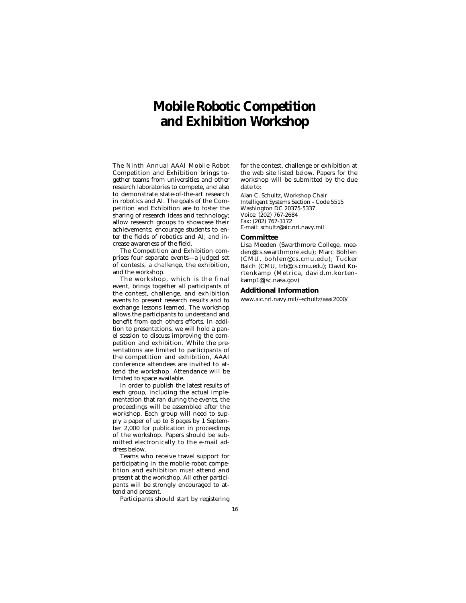# **Mobile Robotic Competition and Exhibition Workshop**

The Ninth Annual AAAI Mobile Robot Competition and Exhibition brings together teams from universities and other research laboratories to compete, and also to demonstrate state-of-the-art research in robotics and AI. The goals of the Competition and Exhibition are to foster the sharing of research ideas and technology; allow research groups to showcase their achievements; encourage students to enter the fields of robotics and AI; and increase awareness of the field.

The Competition and Exhibition comprises four separate events—a judged set of contests, a challenge, the exhibition, and the workshop.

The workshop, which is the final event, brings together all participants of the contest, challenge, and exhibition events to present research results and to exchange lessons learned. The workshop allows the participants to understand and benefit from each others efforts. In addition to presentations, we will hold a panel session to discuss improving the competition and exhibition. While the presentations are limited to participants of the competition and exhibition, AAAI conference attendees are invited to attend the workshop. Attendance will be limited to space available.

In order to publish the latest results of each group, including the actual implementation that ran during the events, the proceedings will be assembled after the workshop. Each group will need to supply a paper of up to 8 pages by 1 September 2,000 for publication in proceedings of the workshop. Papers should be submitted electronically to the e-mail address below.

Teams who receive travel support for participating in the mobile robot competition and exhibition *must* attend and present at the workshop. All other participants will be strongly encouraged to attend and present.

Participants should start by registering

for the contest, challenge or exhibition at the web site listed below. Papers for the workshop will be submitted by the due date to:

Alan C. Schultz, Workshop Chair Intelligent Systems Section - Code 5515 Washington DC 20375-5337 Voice: (202) 767-2684 Fax: (202) 767-3172 E-mail: schultz@aic.nrl.navy.mil

### **Committee**

Lisa Meeden (Swarthmore College, meeden@cs.swarthmore.edu); Marc Bohlen (CMU, bohlen@cs.cmu.edu); Tucker Balch (CMU, trb@cs.cmu.edu); David Kortenkamp (Metrica, david.m.kortenkamp1@jsc.nasa.gov)

#### **Additional Information**

www.aic.nrl.navy.mil/~schultz/aaai2000/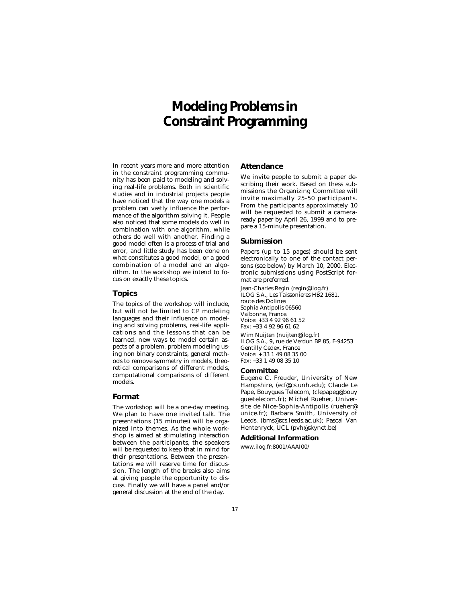# **Modeling Problems in Constraint Programming**

In recent years more and more attention in the constraint programming community has been paid to modeling and solving real-life problems. Both in scientific studies and in industrial projects people have noticed that the way one models a problem can vastly influence the performance of the algorithm solving it. People also noticed that some models do well in combination with one algorithm, while others do well with another. Finding a good model often is a process of trial and error, and little study has been done on what constitutes a good model, or a good combination of a model and an algorithm. In the workshop we intend to focus on exactly these topics.

### **Topics**

The topics of the workshop will include, but will not be limited to CP modeling languages and their influence on modeling and solving problems, real-life applications and the lessons that can be learned, new ways to model certain aspects of a problem, problem modeling using non binary constraints, general methods to remove symmetry in models, theoretical comparisons of different models, computational comparisons of different models.

### **Format**

The workshop will be a one-day meeting. We plan to have one invited talk. The presentations (15 minutes) will be organized into themes. As the whole workshop is aimed at stimulating interaction between the participants, the speakers will be requested to keep that in mind for their presentations. Between the presentations we will reserve time for discussion. The length of the breaks also aims at giving people the opportunity to discuss. Finally we will have a panel and/or general discussion at the end of the day.

### **Attendance**

We invite people to submit a paper describing their work. Based on thess submissions the Organizing Committee will invite maximally 25-50 participants. From the participants approximately 10 will be requested to submit a cameraready paper by April 26, 1999 and to prepare a 15-minute presentation.

### **Submission**

Papers (up to 15 pages) should be sent electronically to one of the contact persons (see below) by March 10, 2000. Electronic submissions using PostScript format are preferred.

Jean-Charles Regin (regin@ilog.fr) ILOG S.A., Les Taissonieres HB2 1681, route des Dolines Sophia Antipolis 06560 Valbonne, France. Voice: +33 4 92 96 61 52 Fax: +33 4 92 96 61 62 Wim Nuijten (nuijten@ilog.fr) ILOG S.A., 9, rue de Verdun BP 85, F-94253 Gentilly Cedex, France Voice: + 33 1 49 08 35 00

Fax: +33 1 49 08 35 10

### **Committee**

Eugene C. Freuder, University of New Hampshire, (ecf@cs.unh.edu); Claude Le Pape, Bouygues Telecom, (clepapeg@bouy guestelecom.fr); Michel Rueher, Universite de Nice-Sophia-Antipolis (rueher@ unice.fr); Barbara Smith, University of Leeds, (bms@scs.leeds.ac.uk); Pascal Van Hentenryck, UCL (pvh@skynet.be)

#### **Additional Information**

www.ilog.fr:8001/AAAI00/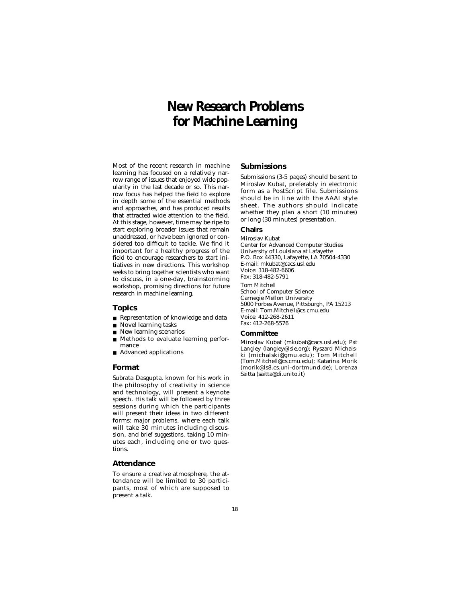# **New Research Problems for Machine Learning**

Most of the recent research in machine learning has focused on a relatively narrow range of issues that enjoyed wide popularity in the last decade or so. This narrow focus has helped the field to explore in depth some of the essential methods and approaches, and has produced results that attracted wide attention to the field. At this stage, however, time may be ripe to start exploring broader issues that remain unaddressed, or have been ignored or considered too difficult to tackle. We find it important for a healthy progress of the field to encourage researchers to start initiatives in new directions. This workshop seeks to bring together scientists who want to discuss, in a one-day, brainstorming workshop, promising directions for future research in machine learning.

### **Topics**

- Representation of knowledge and data
- Novel learning tasks
- New learning scenarios
- Methods to evaluate learning performance
- Advanced applications

### **Format**

Subrata Dasgupta, known for his work in the philosophy of creativity in science and technology, will present a keynote speech. His talk will be followed by three sessions during which the participants will present their ideas in two different forms: *major problems,* where each talk will take 30 minutes including discussion, and *brief suggestions,* taking 10 minutes each, including one or two questions.

### **Attendance**

To ensure a creative atmosphere, the attendance will be limited to 30 participants, most of which are supposed to present a talk.

### **Submissions**

Submissions (3-5 pages) should be sent to Miroslav Kubat, preferably in electronic form as a PostScript file. Submissions should be in line with the AAAI style sheet. The authors should indicate whether they plan a short (10 minutes) or long (30 minutes) presentation.

### **Chairs**

Miroslav Kubat Center for Advanced Computer Studies University of Louisiana at Lafayette P.O. Box 44330, Lafayette, LA 70504-4330 E-mail: mkubat@cacs.usl.edu Voice: 318-482-6606 Fax: 318-482-5791 Tom Mitchell School of Computer Science Carnegie Mellon University 5000 Forbes Avenue, Pittsburgh, PA 15213 E-mail: Tom.Mitchell@cs.cmu.edu Voice: 412-268-2611 Fax: 412-268-5576

#### **Committee**

Miroslav Kubat (mkubat@cacs.usl.edu); Pat Langley (langley@isle.org); Ryszard Michalski (michalski@gmu.edu); Tom Mitchell (Tom.Mitchell@cs.cmu.edu); Katarina Morik (morik@ls8.cs.uni-dortmund.de); Lorenza Saitta (saitta@di.unito.it)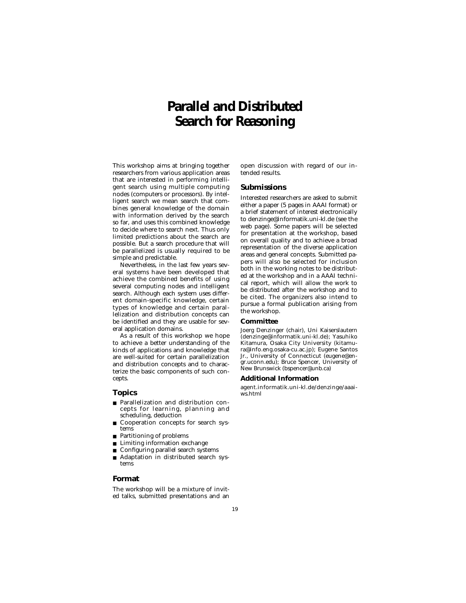# **Parallel and Distributed Search for Reasoning**

This workshop aims at bringing together researchers from various application areas that are interested in performing intelligent search using multiple computing nodes (computers or processors). By intelligent search we mean search that combines general knowledge of the domain with information derived by the search so far, and uses this combined knowledge to decide where to search next. Thus only limited predictions about the search are possible. But a search procedure that will be parallelized is usually required to be simple and predictable.

Nevertheless, in the last few years several systems have been developed that achieve the combined benefits of using several computing nodes and intelligent search. Although each system uses different domain-specific knowledge, certain types of knowledge and certain parallelization and distribution concepts can be identified and they are usable for several application domains.

As a result of this workshop we hope to achieve a better understanding of the kinds of applications and knowledge that are well-suited for certain parallelization and distribution concepts and to characterize the basic components of such concepts.

### **Topics**

- Parallelization and distribution concepts for learning, planning and scheduling, deduction
- Cooperation concepts for search systems
- Partitioning of problems
- Limiting information exchange
- Configuring parallel search systems
- Adaptation in distributed search systems

### **Format**

The workshop will be a mixture of invited talks, submitted presentations and an open discussion with regard of our intended results.

### **Submissions**

Interested researchers are asked to submit either a paper (5 pages in AAAI format) or a brief statement of interest electronically to denzinge@informatik.uni-kl.de (see the web page). Some papers will be selected for presentation at the workshop, based on overall quality and to achieve a broad representation of the diverse application areas and general concepts. Submitted papers will also be selected for inclusion both in the working notes to be distributed at the workshop and in a AAAI technical report, which will allow the work to be distributed after the workshop and to be cited. The organizers also intend to pursue a formal publication arising from the workshop.

### **Committee**

Joerg Denzinger (chair), Uni Kaiserslautern (denzinge@informatik.uni-kl.de); Yasuhiko Kitamura, Osaka City University (kitamura@info.eng.osaka-cu.ac.jp); Eugene Santos Jr., University of Connecticut (eugene@engr.uconn.edu); Bruce Spencer, University of New Brunswick (bspencer@unb.ca)

### **Additional Information**

agent.informatik.uni-kl.de/denzinge/aaaiws.html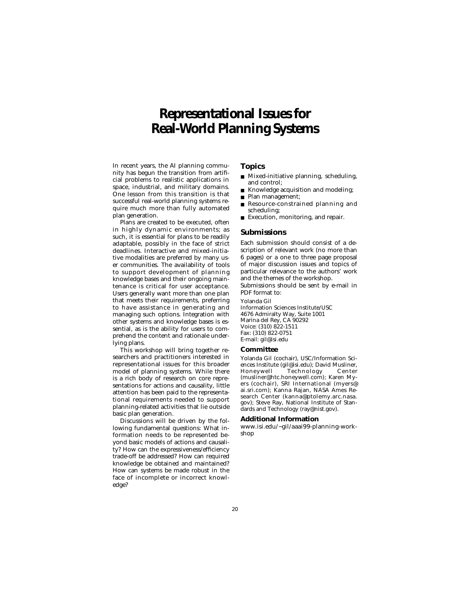# **Representational Issues for Real-World Planning Systems**

In recent years, the AI planning community has begun the transition from artificial problems to realistic applications in space, industrial, and military domains. One lesson from this transition is that successful real-world planning systems require much more than fully automated plan generation.

Plans are created to be executed, often in highly dynamic environments; as such, it is essential for plans to be readily adaptable, possibly in the face of strict deadlines. Interactive and mixed-initiative modalities are preferred by many user communities. The availability of tools to support development of planning knowledge bases and their ongoing maintenance is critical for user acceptance. Users generally want more than one plan that meets their requirements, preferring to have assistance in generating and managing such options. Integration with other systems and knowledge bases is essential, as is the ability for users to comprehend the content and rationale underlying plans.

This workshop will bring together researchers and practitioners interested in representational issues for this broader model of planning systems. While there is a rich body of research on core representations for actions and causality, little attention has been paid to the representational requirements needed to support planning-related activities that lie outside basic plan generation.

Discussions will be driven by the following fundamental questions: What information needs to be represented beyond basic models of actions and causality? How can the expressiveness/efficiency trade-off be addressed? How can required knowledge be obtained and maintained? How can systems be made robust in the face of incomplete or incorrect knowledge?

### **Topics**

- Mixed-initiative planning, scheduling, and control;
- Knowledge acquisition and modeling;
- Plan management;
- Resource-constrained planning and scheduling;
- Execution, monitoring, and repair.

### **Submissions**

Each submission should consist of a description of relevant work (no more than 6 pages) or a one to three page proposal of major discussion issues and topics of particular relevance to the authors' work and the themes of the workshop.

Submissions should be sent by e-mail in PDF format to:

Yolanda Gil Information Sciences Institute/USC 4676 Admiralty Way, Suite 1001 Marina del Rey, CA 90292 Voice: (310) 822-1511 Fax: (310) 822-0751 E-mail: gil@isi.edu

### **Committee**

Yolanda Gil (cochair), USC/Information Sciences Institute (gil@isi.edu); David Musliner, Technology (musliner@htc.honeywell.com); Karen Myers (cochair), SRI International (myers@ ai.sri.com); Kanna Rajan, NASA Ames Research Center (kanna@ptolemy.arc.nasa. gov); Steve Ray, National Institute of Standards and Technology (ray@nist.gov).

### **Additional Information**

www.isi.edu/~gil/aaai99-planning-workshop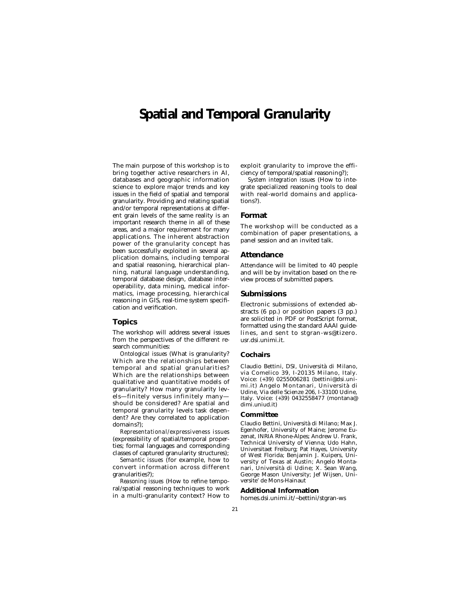### **Spatial and Temporal Granularity**

The main purpose of this workshop is to bring together active researchers in AI, databases and geographic information science to explore major trends and key issues in the field of spatial and temporal granularity. Providing and relating spatial and/or temporal representations at different grain levels of the same reality is an important research theme in all of these areas, and a major requirement for many applications. The inherent abstraction power of the granularity concept has been successfully exploited in several application domains, including temporal and spatial reasoning, hierarchical planning, natural language understanding, temporal database design, database interoperability, data mining, medical informatics, image processing, hierarchical reasoning in GIS, real-time system specification and verification.

### **Topics**

The workshop will address several issues from the perspectives of the different research communities:

*Ontological issues* (What is granularity? Which are the relationships between temporal and spatial granularities? Which are the relationships between qualitative and quantitative models of granularity? How many granularity levels—finitely versus infinitely many should be considered? Are spatial and temporal granularity levels task dependent? Are they correlated to application domains?);

*Representational/expressiveness issues* (expressibility of spatial/temporal properties; formal languages and corresponding classes of captured granularity structures);

*Semantic issues* (for example, how to convert information across different granularities?);

*Reasoning issues* (How to refine temporal/spatial reasoning techniques to work in a multi-granularity context? How to exploit granularity to improve the efficiency of temporal/spatial reasoning?);

*System integration issues* (How to integrate specialized reasoning tools to deal with real-world domains and applications?).

### **Format**

The workshop will be conducted as a combination of paper presentations, a panel session and an invited talk.

### **Attendance**

Attendance will be limited to 40 people and will be by invitation based on the review process of submitted papers.

### **Submissions**

Electronic submissions of extended abstracts (6 pp.) or position papers (3 pp.) are solicited in PDF or PostScript format, formatted using the standard AAAI guidelines, and sent to stgran-ws@tizero. usr.dsi.unimi.it.

### **Cochairs**

Claudio Bettini, DSI, Università di Milano, via Comelico 39, I-20135 Milano, Italy. Voice: (+39) 0255006281 (bettini@dsi.unimi.it) Angelo Montanari, Università di Udine, Via delle Scienze 206, I-33100 Udine, Italy. Voice: (+39) 0432558477 (montana@ dimi.uniud.it)

### **Committee**

Claudio Bettini, Università di Milano; Max J. Egenhofer, University of Maine; Jerome Euzenat, INRIA Rhone-Alpes; Andrew U. Frank, Technical University of Vienna; Udo Hahn, Universitaet Freiburg; Pat Hayes, University of West Florida; Benjamin J. Kuipers, University of Texas at Austin; Angelo Montanari, Università di Udine; X. Sean Wang, George Mason University; Jef Wijsen, Universite' de Mons-Hainaut

#### **Additional Information**

homes.dsi.unimi.it/~bettini/stgran-ws